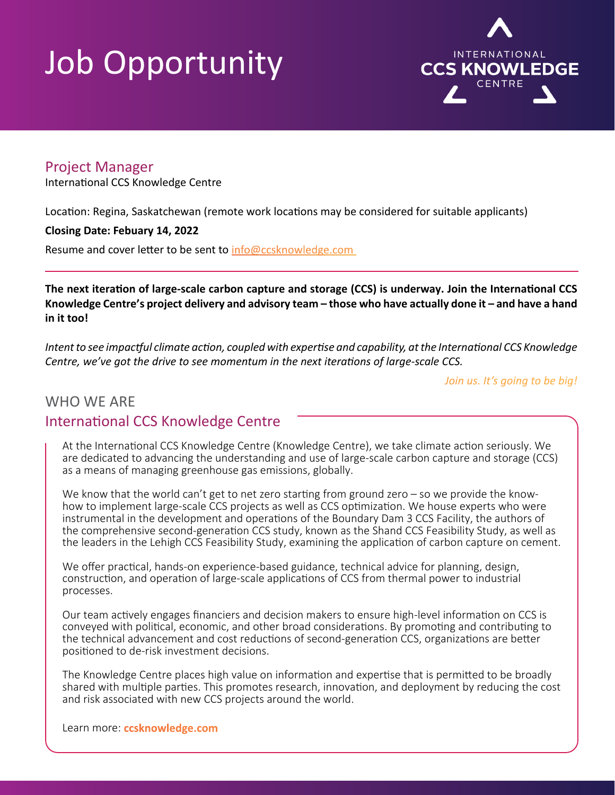## Job Opportunity



## Project Manager

International CCS Knowledge Centre

Location: Regina, Saskatchewan (remote work locations may be considered for suitable applicants)

#### **Closing Date: Febuary 14, 2022**

Resume and cover letter to be sent to info@ccsknowledge.com

**The next iteration of large-scale carbon capture and storage (CCS) is underway. Join the International CCS Knowledge Centre's project delivery and advisory team – those who have actually done it – and have a hand in it too!**

*Intent to see impactful climate action, coupled with expertise and capability, at the International CCS Knowledge Centre, we've got the drive to see momentum in the next iterations of large-scale CCS.* 

*Join us. It's going to be big!*

## WHO WE ARE International CCS Knowledge Centre

At the International CCS Knowledge Centre (Knowledge Centre), we take climate action seriously. We are dedicated to advancing the understanding and use of large-scale carbon capture and storage (CCS) as a means of managing greenhouse gas emissions, globally.

We know that the world can't get to net zero starting from ground zero – so we provide the knowhow to implement large-scale CCS projects as well as CCS optimization. We house experts who were instrumental in the development and operations of the Boundary Dam 3 CCS Facility, the authors of the comprehensive second-generation CCS study, known as the Shand CCS Feasibility Study, as well as the leaders in the Lehigh CCS Feasibility Study, examining the application of carbon capture on cement.

We offer practical, hands-on experience-based guidance, technical advice for planning, design, construction, and operation of large-scale applications of CCS from thermal power to industrial processes.

Our team actively engages financiers and decision makers to ensure high-level information on CCS is conveyed with political, economic, and other broad considerations. By promoting and contributing to the technical advancement and cost reductions of second-generation CCS, organizations are better positioned to de-risk investment decisions.

The Knowledge Centre places high value on information and expertise that is permitted to be broadly shared with multiple parties. This promotes research, innovation, and deployment by reducing the cost and risk associated with new CCS projects around the world.

Learn more: **[ccsknowledge.com](http://ccsknowledge.com)**